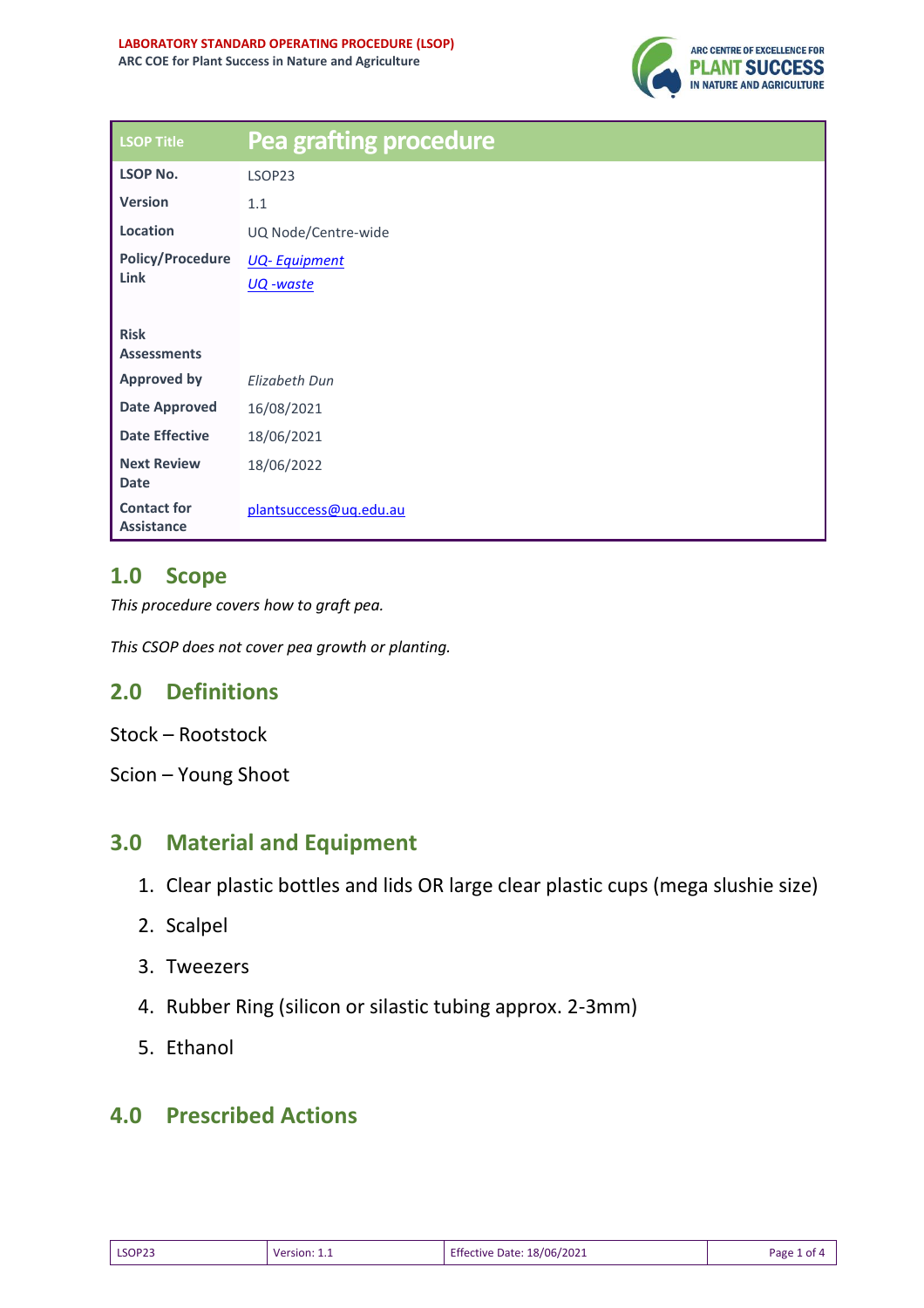

| <b>LSOP Title</b>                       | <b>Pea grafting procedure</b> |
|-----------------------------------------|-------------------------------|
| <b>LSOP No.</b>                         | LSOP23                        |
| <b>Version</b>                          | 1.1                           |
| Location                                | UQ Node/Centre-wide           |
| <b>Policy/Procedure</b><br><b>Link</b>  | <b>UQ-Equipment</b>           |
|                                         | <u> UQ -waste</u>             |
| <b>Risk</b><br><b>Assessments</b>       |                               |
| <b>Approved by</b>                      | Elizabeth Dun                 |
| <b>Date Approved</b>                    | 16/08/2021                    |
| <b>Date Effective</b>                   | 18/06/2021                    |
| <b>Next Review</b><br><b>Date</b>       | 18/06/2022                    |
| <b>Contact for</b><br><b>Assistance</b> | plantsuccess@uq.edu.au        |

### **1.0 Scope**

*This procedure covers how to graft pea.*

*This CSOP does not cover pea growth or planting.*

# **2.0 Definitions**

- Stock Rootstock
- Scion Young Shoot

### **3.0 Material and Equipment**

- 1. Clear plastic bottles and lids OR large clear plastic cups (mega slushie size)
- 2. Scalpel
- 3. Tweezers
- 4. Rubber Ring (silicon or silastic tubing approx. 2-3mm)
- 5. Ethanol

#### **4.0 Prescribed Actions**

| LSOP23 | חרוא | 18/06/2021<br>tive<br>Date | Раре |
|--------|------|----------------------------|------|
|--------|------|----------------------------|------|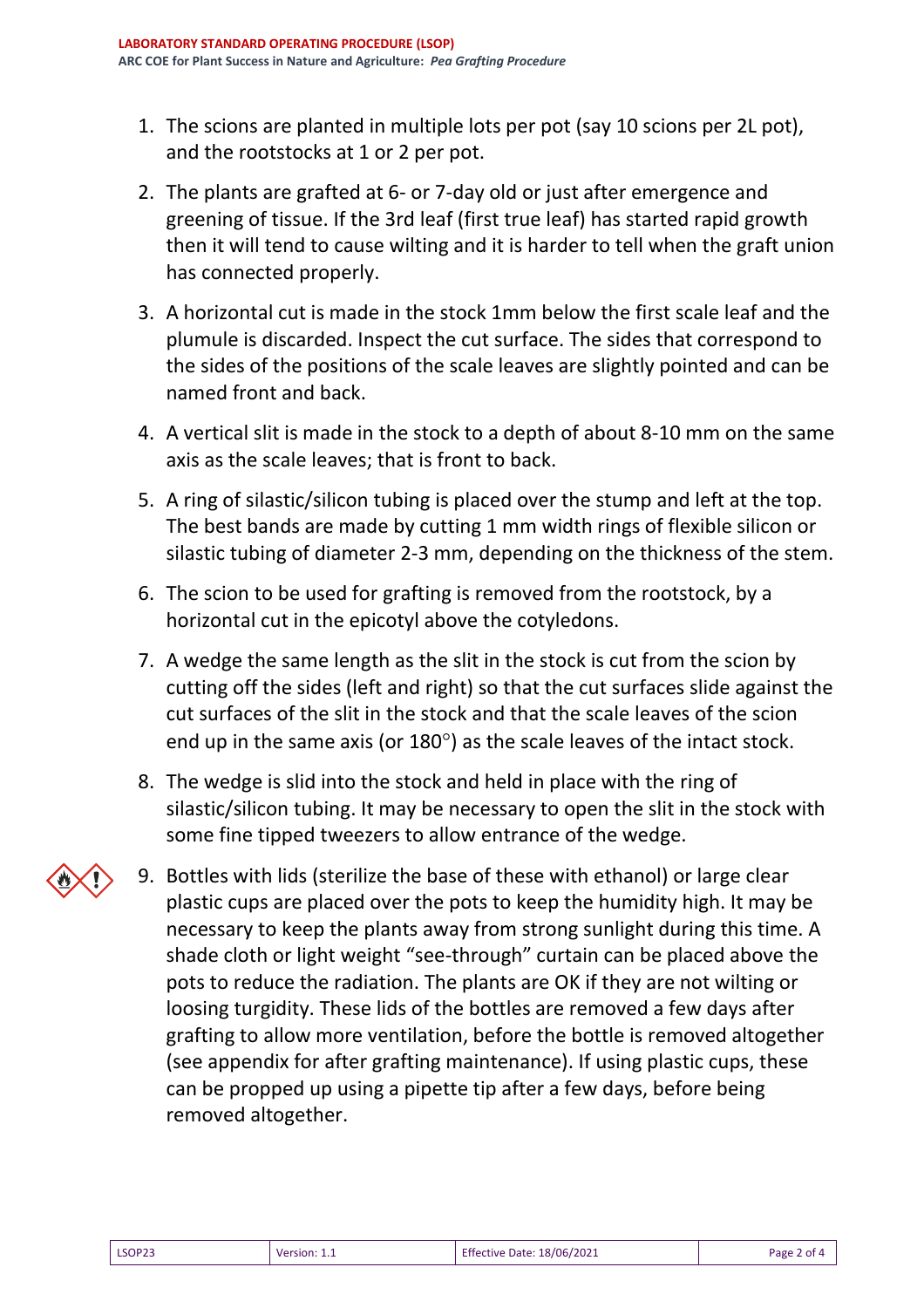- 1. The scions are planted in multiple lots per pot (say 10 scions per 2L pot), and the rootstocks at 1 or 2 per pot.
- 2. The plants are grafted at 6- or 7-day old or just after emergence and greening of tissue. If the 3rd leaf (first true leaf) has started rapid growth then it will tend to cause wilting and it is harder to tell when the graft union has connected properly.
- 3. A horizontal cut is made in the stock 1mm below the first scale leaf and the plumule is discarded. Inspect the cut surface. The sides that correspond to the sides of the positions of the scale leaves are slightly pointed and can be named front and back.
- 4. A vertical slit is made in the stock to a depth of about 8-10 mm on the same axis as the scale leaves; that is front to back.
- 5. A ring of silastic/silicon tubing is placed over the stump and left at the top. The best bands are made by cutting 1 mm width rings of flexible silicon or silastic tubing of diameter 2-3 mm, depending on the thickness of the stem.
- 6. The scion to be used for grafting is removed from the rootstock, by a horizontal cut in the epicotyl above the cotyledons.
- 7. A wedge the same length as the slit in the stock is cut from the scion by cutting off the sides (left and right) so that the cut surfaces slide against the cut surfaces of the slit in the stock and that the scale leaves of the scion end up in the same axis (or  $180^\circ$ ) as the scale leaves of the intact stock.
- 8. The wedge is slid into the stock and held in place with the ring of silastic/silicon tubing. It may be necessary to open the slit in the stock with some fine tipped tweezers to allow entrance of the wedge.
- 9. Bottles with lids (sterilize the base of these with ethanol) or large clear plastic cups are placed over the pots to keep the humidity high. It may be necessary to keep the plants away from strong sunlight during this time. A shade cloth or light weight "see-through" curtain can be placed above the pots to reduce the radiation. The plants are OK if they are not wilting or loosing turgidity. These lids of the bottles are removed a few days after grafting to allow more ventilation, before the bottle is removed altogether (see appendix for after grafting maintenance). If using plastic cups, these can be propped up using a pipette tip after a few days, before being removed altogether.

| <b>Effective Date: 18/06/2021</b><br><b>LSOP23</b><br>Page 2 of 4<br>Version: 1.1 |  |  |  |  |
|-----------------------------------------------------------------------------------|--|--|--|--|
|-----------------------------------------------------------------------------------|--|--|--|--|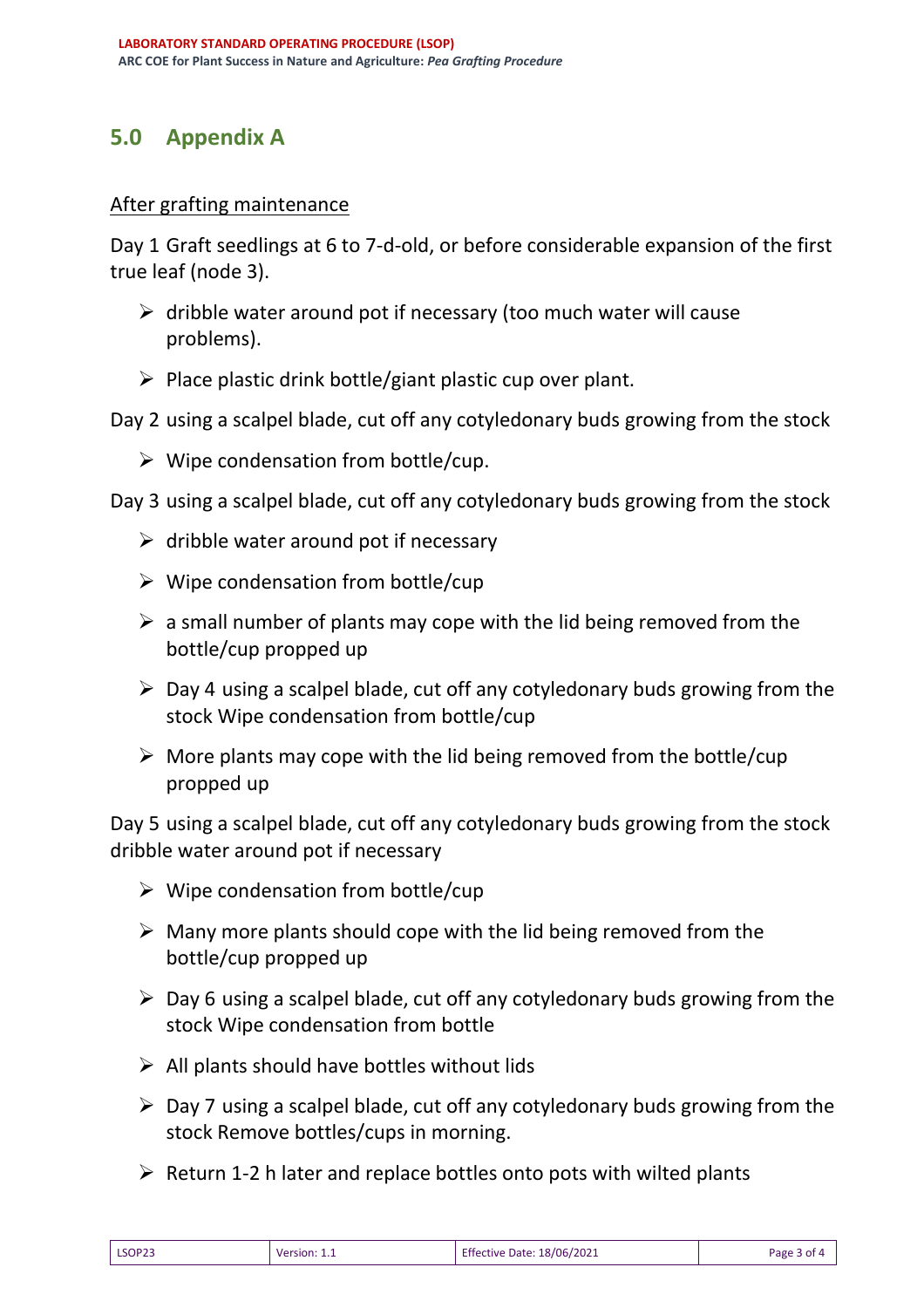## **5.0 Appendix A**

#### After grafting maintenance

Day 1 Graft seedlings at 6 to 7-d-old, or before considerable expansion of the first true leaf (node 3).

- $\triangleright$  dribble water around pot if necessary (too much water will cause problems).
- $\triangleright$  Place plastic drink bottle/giant plastic cup over plant.

Day 2 using a scalpel blade, cut off any cotyledonary buds growing from the stock

 $\triangleright$  Wipe condensation from bottle/cup.

Day 3 using a scalpel blade, cut off any cotyledonary buds growing from the stock

- $\triangleright$  dribble water around pot if necessary
- $\triangleright$  Wipe condensation from bottle/cup
- $\triangleright$  a small number of plants may cope with the lid being removed from the bottle/cup propped up
- $\triangleright$  Day 4 using a scalpel blade, cut off any cotyledonary buds growing from the stock Wipe condensation from bottle/cup
- $\triangleright$  More plants may cope with the lid being removed from the bottle/cup propped up

Day 5 using a scalpel blade, cut off any cotyledonary buds growing from the stock dribble water around pot if necessary

- $\triangleright$  Wipe condensation from bottle/cup
- $\triangleright$  Many more plants should cope with the lid being removed from the bottle/cup propped up
- $\triangleright$  Day 6 using a scalpel blade, cut off any cotyledonary buds growing from the stock Wipe condensation from bottle
- $\triangleright$  All plants should have bottles without lids
- $\triangleright$  Day 7 using a scalpel blade, cut off any cotyledonary buds growing from the stock Remove bottles/cups in morning.
- $\triangleright$  Return 1-2 h later and replace bottles onto pots with wilted plants

| LSOP23 | Version: 1.1 | Effective Date: 18/06/2021 | Page 3 of 4 |
|--------|--------------|----------------------------|-------------|
|        |              |                            |             |